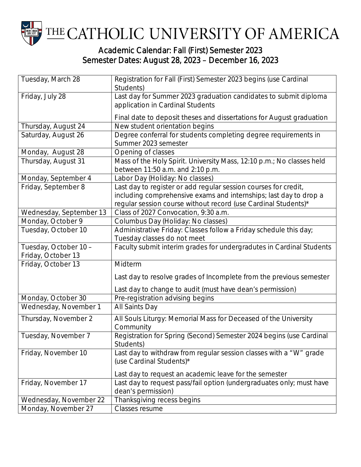

## Semester Dates: August 28, 2023 – December 16, 2023

| Tuesday, March 28                           | Registration for Fall (First) Semester 2023 begins (use Cardinal<br>Students)                                                                                                                          |
|---------------------------------------------|--------------------------------------------------------------------------------------------------------------------------------------------------------------------------------------------------------|
| Friday, July 28                             | Last day for Summer 2023 graduation candidates to submit diploma<br>application in Cardinal Students                                                                                                   |
|                                             | Final date to deposit theses and dissertations for August graduation                                                                                                                                   |
| Thursday, August 24                         | New student orientation begins                                                                                                                                                                         |
| Saturday, August 26                         | Degree conferral for students completing degree requirements in<br>Summer 2023 semester                                                                                                                |
| Monday, August 28                           | Opening of classes                                                                                                                                                                                     |
| Thursday, August 31                         | Mass of the Holy Spirit. University Mass, 12:10 p.m.; No classes held<br>between 11:50 a.m. and 2:10 p.m.                                                                                              |
| Monday, September 4                         | Labor Day (Holiday: No classes)                                                                                                                                                                        |
| Friday, September 8                         | Last day to register or add regular session courses for credit,<br>including comprehensive exams and internships; last day to drop a<br>regular session course without record (use Cardinal Students)* |
| Wednesday, September 13                     | Class of 2027 Convocation, 9:30 a.m.                                                                                                                                                                   |
| Monday, October 9                           | Columbus Day (Holiday: No classes)                                                                                                                                                                     |
| Tuesday, October 10                         | Administrative Friday: Classes follow a Friday schedule this day;<br>Tuesday classes do not meet                                                                                                       |
| Tuesday, October 10 -<br>Friday, October 13 | Faculty submit interim grades for undergradutes in Cardinal Students                                                                                                                                   |
| Friday, October 13                          | Midterm                                                                                                                                                                                                |
|                                             | Last day to resolve grades of Incomplete from the previous semester                                                                                                                                    |
|                                             | Last day to change to audit (must have dean's permission)                                                                                                                                              |
| Monday, October 30                          | Pre-registration advising begins                                                                                                                                                                       |
| Wednesday, November 1                       | All Saints Day                                                                                                                                                                                         |
| Thursday, November 2                        | All Souls Liturgy: Memorial Mass for Deceased of the University<br>Community                                                                                                                           |
| Tuesday, November 7                         | Registration for Spring (Second) Semester 2024 begins (use Cardinal<br>Students)                                                                                                                       |
| Friday, November 10                         | Last day to withdraw from regular session classes with a "W" grade<br>(use Cardinal Students)*                                                                                                         |
|                                             | Last day to request an academic leave for the semester                                                                                                                                                 |
| Friday, November 17                         | Last day to request pass/fail option (undergraduates only; must have<br>dean's permission)                                                                                                             |
| Wednesday, November 22                      | Thanksgiving recess begins                                                                                                                                                                             |
| Monday, November 27                         | Classes resume                                                                                                                                                                                         |